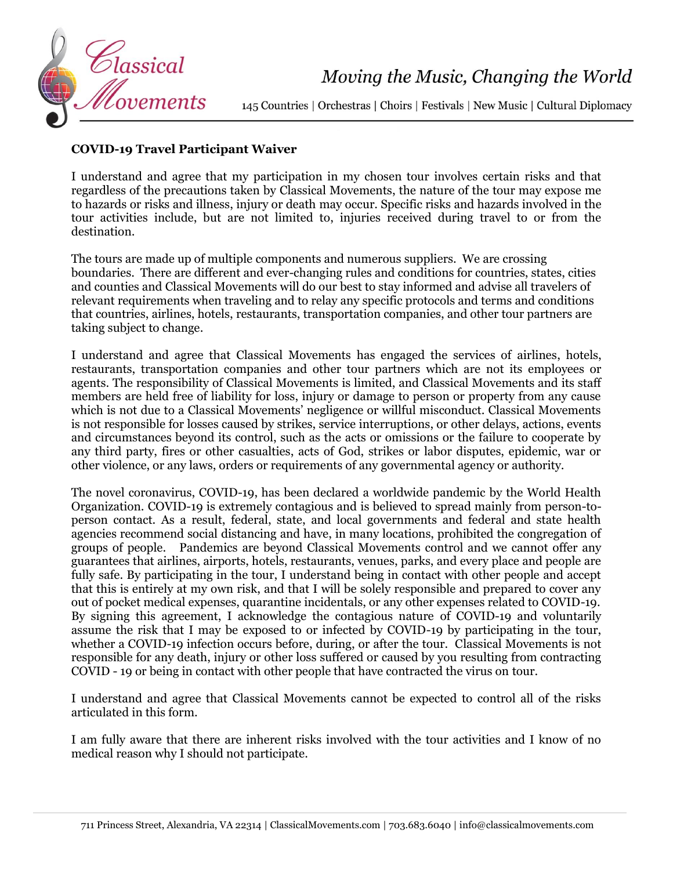

145 Countries | Orchestras | Choirs | Festivals | New Music | Cultural Diplomacy

## **COVID-19 Travel Participant Waiver**

I understand and agree that my participation in my chosen tour involves certain risks and that regardless of the precautions taken by Classical Movements, the nature of the tour may expose me to hazards or risks and illness, injury or death may occur. Specific risks and hazards involved in the tour activities include, but are not limited to, injuries received during travel to or from the destination.

The tours are made up of multiple components and numerous suppliers. We are crossing boundaries. There are different and ever-changing rules and conditions for countries, states, cities and counties and Classical Movements will do our best to stay informed and advise all travelers of relevant requirements when traveling and to relay any specific protocols and terms and conditions that countries, airlines, hotels, restaurants, transportation companies, and other tour partners are taking subject to change.

I understand and agree that Classical Movements has engaged the services of airlines, hotels, restaurants, transportation companies and other tour partners which are not its employees or agents. The responsibility of Classical Movements is limited, and Classical Movements and its staff members are held free of liability for loss, injury or damage to person or property from any cause which is not due to a Classical Movements' negligence or willful misconduct. Classical Movements is not responsible for losses caused by strikes, service interruptions, or other delays, actions, events and circumstances beyond its control, such as the acts or omissions or the failure to cooperate by any third party, fires or other casualties, acts of God, strikes or labor disputes, epidemic, war or other violence, or any laws, orders or requirements of any governmental agency or authority.

The novel coronavirus, COVID-19, has been declared a worldwide pandemic by the World Health Organization. COVID-19 is extremely contagious and is believed to spread mainly from person-toperson contact. As a result, federal, state, and local governments and federal and state health agencies recommend social distancing and have, in many locations, prohibited the congregation of groups of people. Pandemics are beyond Classical Movements control and we cannot offer any guarantees that airlines, airports, hotels, restaurants, venues, parks, and every place and people are fully safe. By participating in the tour, I understand being in contact with other people and accept that this is entirely at my own risk, and that I will be solely responsible and prepared to cover any out of pocket medical expenses, quarantine incidentals, or any other expenses related to COVID-19. By signing this agreement, I acknowledge the contagious nature of COVID-19 and voluntarily assume the risk that I may be exposed to or infected by COVID-19 by participating in the tour, whether a COVID-19 infection occurs before, during, or after the tour. Classical Movements is not responsible for any death, injury or other loss suffered or caused by you resulting from contracting COVID - 19 or being in contact with other people that have contracted the virus on tour.

I understand and agree that Classical Movements cannot be expected to control all of the risks articulated in this form.

I am fully aware that there are inherent risks involved with the tour activities and I know of no medical reason why I should not participate.